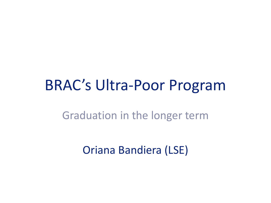## BRAC's Ultra-Poor Program

#### Graduation in the longer term

Oriana Bandiera (LSE)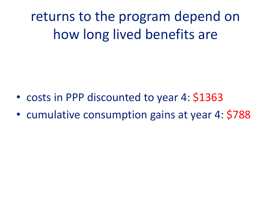returns to the program depend on how long lived benefits are

- costs in PPP discounted to year 4: \$1363
- cumulative consumption gains at year 4: \$788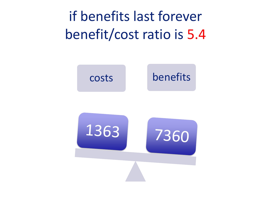if benefits last forever benefit/cost ratio is 5.4

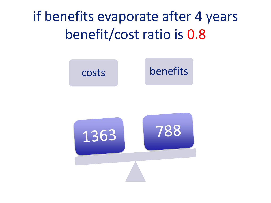if benefits evaporate after 4 years benefit/cost ratio is 0.8

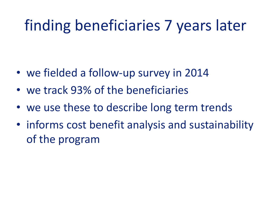# finding beneficiaries 7 years later

- we fielded a follow-up survey in 2014
- we track 93% of the beneficiaries
- we use these to describe long term trends
- informs cost benefit analysis and sustainability of the program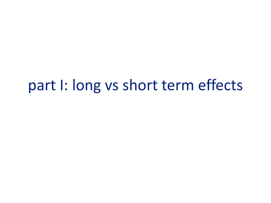## part I: long vs short term effects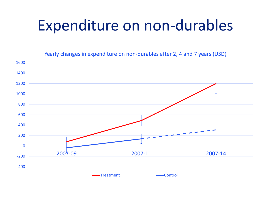# Expenditure on non-durables

Yearly changes in expenditure on non-durables after 2, 4 and 7 years (USD)

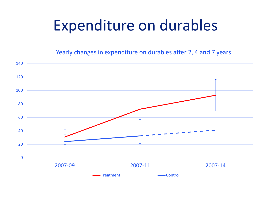# Expenditure on durables

Yearly changes in expenditure on durables after 2, 4 and 7 years

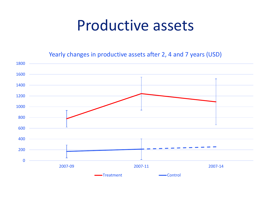## Productive assets

Yearly changes in productive assets after 2, 4 and 7 years (USD)

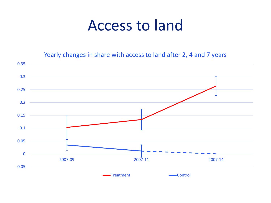## Access to land

Yearly changes in share with access to land after 2, 4 and 7 years

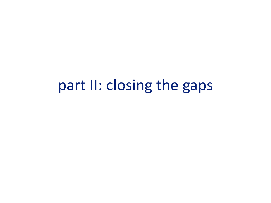## part II: closing the gaps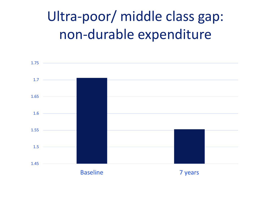# Ultra-poor/ middle class gap: non-durable expenditure

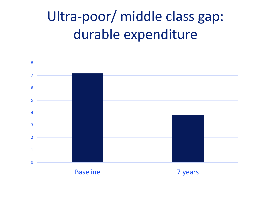# Ultra-poor/ middle class gap: durable expenditure

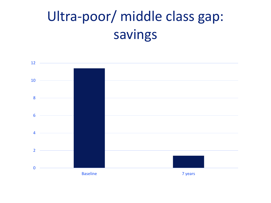# Ultra-poor/ middle class gap: savings

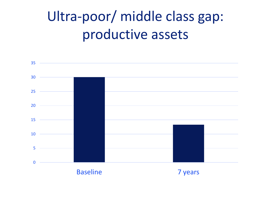# Ultra-poor/ middle class gap: productive assets

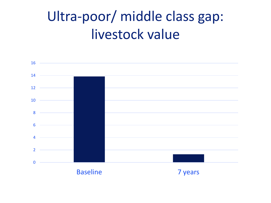## Ultra-poor/ middle class gap: livestock value

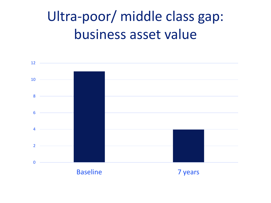# Ultra-poor/ middle class gap: business asset value